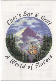